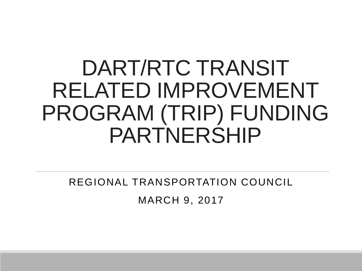# DART/RTC TRANSIT RELATED IMPROVEMENT PROGRAM (TRIP) FUNDING PARTNERSHIP

#### REGIONAL TRANSPORTATION COUNCIL

MARCH 9, 2017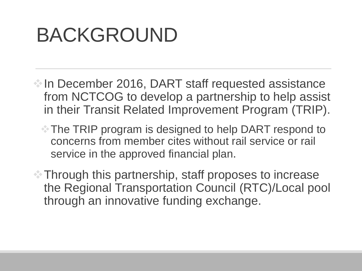# BACKGROUND

- In December 2016, DART staff requested assistance from NCTCOG to develop a partnership to help assist in their Transit Related Improvement Program (TRIP).
	- The TRIP program is designed to help DART respond to concerns from member cites without rail service or rail service in the approved financial plan.
- Through this partnership, staff proposes to increase the Regional Transportation Council (RTC)/Local pool through an innovative funding exchange.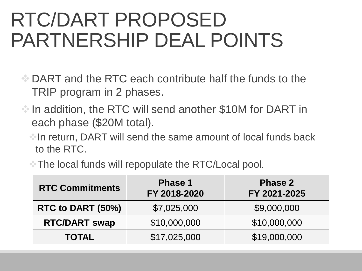## RTC/DART PROPOSED PARTNERSHIP DEAL POINTS

- $\bullet$  DART and the RTC each contribute half the funds to the TRIP program in 2 phases.
- $\bullet$  In addition, the RTC will send another \$10M for DART in each phase (\$20M total).
	- $\triangle$  In return, DART will send the same amount of local funds back to the RTC.
	- **The local funds will repopulate the RTC/Local pool.**

| <b>RTC Commitments</b> | <b>Phase 1</b><br>FY 2018-2020 | <b>Phase 2</b><br>FY 2021-2025 |
|------------------------|--------------------------------|--------------------------------|
| RTC to DART (50%)      | \$7,025,000                    | \$9,000,000                    |
| <b>RTC/DART swap</b>   | \$10,000,000                   | \$10,000,000                   |
| <b>TOTAL</b>           | \$17,025,000                   | \$19,000,000                   |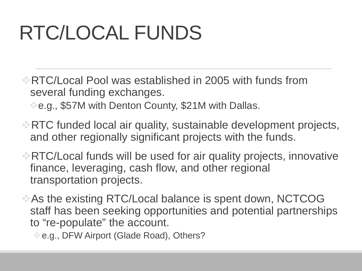# RTC/LOCAL FUNDS

- RTC/Local Pool was established in 2005 with funds from several funding exchanges.
	- **e.g., \$57M with Denton County, \$21M with Dallas.**
- **RTC funded local air quality, sustainable development projects,** and other regionally significant projects with the funds.
- RTC/Local funds will be used for air quality projects, innovative finance, leveraging, cash flow, and other regional transportation projects.
- As the existing RTC/Local balance is spent down, NCTCOG staff has been seeking opportunities and potential partnerships to "re-populate" the account.
	- $\triangle$  e.g., DFW Airport (Glade Road), Others?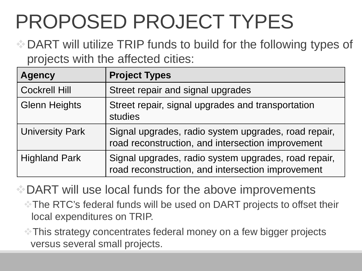# PROPOSED PROJECT TYPES

**DART will utilize TRIP funds to build for the following types of** projects with the affected cities:

| <b>Agency</b>          | <b>Project Types</b>                                                                                      |
|------------------------|-----------------------------------------------------------------------------------------------------------|
| <b>Cockrell Hill</b>   | Street repair and signal upgrades                                                                         |
| <b>Glenn Heights</b>   | Street repair, signal upgrades and transportation<br>studies                                              |
| <b>University Park</b> | Signal upgrades, radio system upgrades, road repair,<br>road reconstruction, and intersection improvement |
| <b>Highland Park</b>   | Signal upgrades, radio system upgrades, road repair,<br>road reconstruction, and intersection improvement |

**DART** will use local funds for the above improvements

The RTC's federal funds will be used on DART projects to offset their local expenditures on TRIP.

This strategy concentrates federal money on a few bigger projects versus several small projects.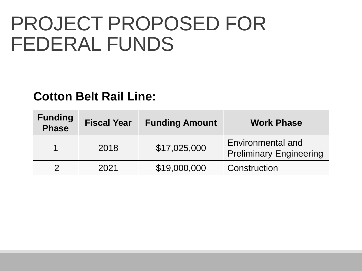### PROJECT PROPOSED FOR FEDERAL FUNDS

#### **Cotton Belt Rail Line:**

| <b>Funding</b><br><b>Phase</b> | <b>Fiscal Year</b> | <b>Funding Amount</b> | <b>Work Phase</b>                                   |
|--------------------------------|--------------------|-----------------------|-----------------------------------------------------|
|                                | 2018               | \$17,025,000          | Environmental and<br><b>Preliminary Engineering</b> |
|                                | 2021               | \$19,000,000          | Construction                                        |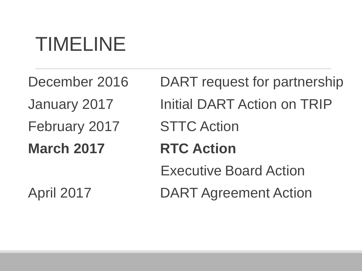# TIMELINE

February 2017 STTC Action **March 2017 RTC Action**

December 2016 DART request for partnership January 2017 Initial DART Action on TRIP Executive Board Action April 2017 DART Agreement Action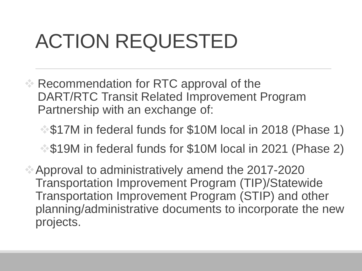# ACTION REQUESTED

- Recommendation for RTC approval of the DART/RTC Transit Related Improvement Program Partnership with an exchange of:
	- $\degree$  \$17M in federal funds for \$10M local in 2018 (Phase 1)
	- $\clubsuit$  \$19M in federal funds for \$10M local in 2021 (Phase 2)
- Approval to administratively amend the 2017-2020 Transportation Improvement Program (TIP)/Statewide Transportation Improvement Program (STIP) and other planning/administrative documents to incorporate the new projects.